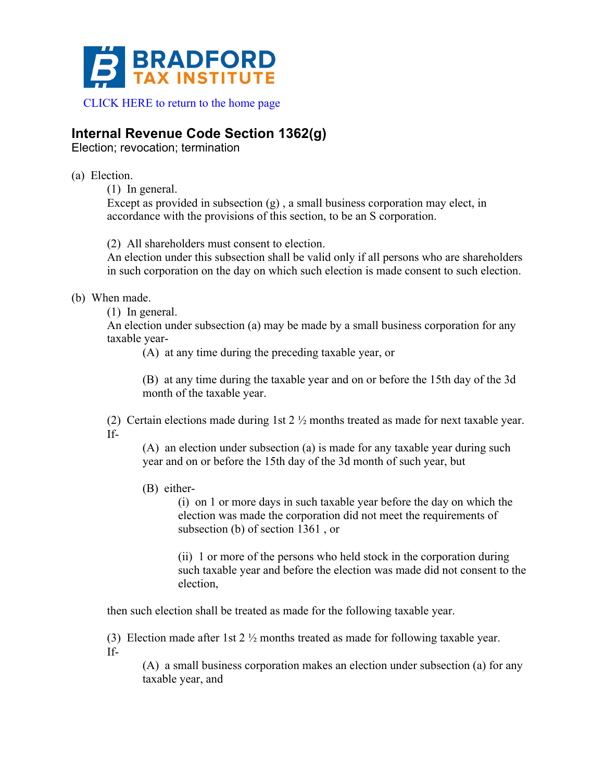

# **Internal Revenue Code Section 1362(g)**

Election; revocation; termination

### (a) Election.

(1) In general.

Except as provided in subsection  $(g)$ , a small business corporation may elect, in accordance with the provisions of this section, to be an S corporation.

(2) All shareholders must consent to election.

An election under this subsection shall be valid only if all persons who are shareholders in such corporation on the day on which such election is made consent to such election.

# (b) When made.

(1) In general.

An election under subsection (a) may be made by a small business corporation for any taxable year-

(A) at any time during the preceding taxable year, or

(B) at any time during the taxable year and on or before the 15th day of the 3d month of the taxable year.

(2) Certain elections made during 1st 2 ½ months treated as made for next taxable year. If-

(A) an election under subsection (a) is made for any taxable year during such year and on or before the 15th day of the 3d month of such year, but

(B) either-

(i) on 1 or more days in such taxable year before the day on which the election was made the corporation did not meet the requirements of subsection (b) of section 1361 , or

(ii) 1 or more of the persons who held stock in the corporation during such taxable year and before the election was made did not consent to the election,

then such election shall be treated as made for the following taxable year.

(3) Election made after 1st 2 ½ months treated as made for following taxable year. If-

(A) a small business corporation makes an election under subsection (a) for any taxable year, and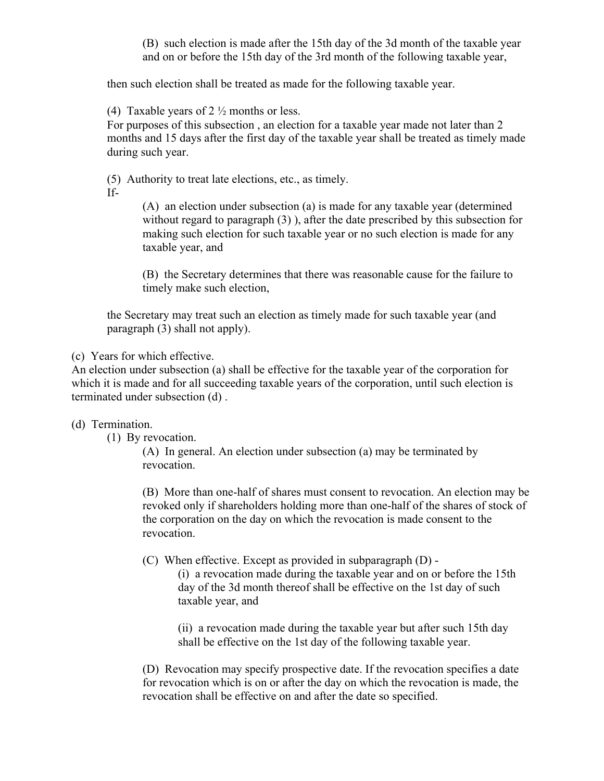(B) such election is made after the 15th day of the 3d month of the taxable year and on or before the 15th day of the 3rd month of the following taxable year,

then such election shall be treated as made for the following taxable year.

(4) Taxable years of  $2\frac{1}{2}$  months or less.

For purposes of this subsection , an election for a taxable year made not later than 2 months and 15 days after the first day of the taxable year shall be treated as timely made during such year.

(5) Authority to treat late elections, etc., as timely.

If-

(A) an election under subsection (a) is made for any taxable year (determined without regard to paragraph (3) ), after the date prescribed by this subsection for making such election for such taxable year or no such election is made for any taxable year, and

(B) the Secretary determines that there was reasonable cause for the failure to timely make such election,

the Secretary may treat such an election as timely made for such taxable year (and paragraph (3) shall not apply).

(c) Years for which effective.

An election under subsection (a) shall be effective for the taxable year of the corporation for which it is made and for all succeeding taxable years of the corporation, until such election is terminated under subsection (d) .

#### (d) Termination.

(1) By revocation.

(A) In general. An election under subsection (a) may be terminated by revocation.

(B) More than one-half of shares must consent to revocation. An election may be revoked only if shareholders holding more than one-half of the shares of stock of the corporation on the day on which the revocation is made consent to the revocation.

(C) When effective. Except as provided in subparagraph (D) -

(i) a revocation made during the taxable year and on or before the 15th day of the 3d month thereof shall be effective on the 1st day of such taxable year, and

(ii) a revocation made during the taxable year but after such 15th day shall be effective on the 1st day of the following taxable year.

(D) Revocation may specify prospective date. If the revocation specifies a date for revocation which is on or after the day on which the revocation is made, the revocation shall be effective on and after the date so specified.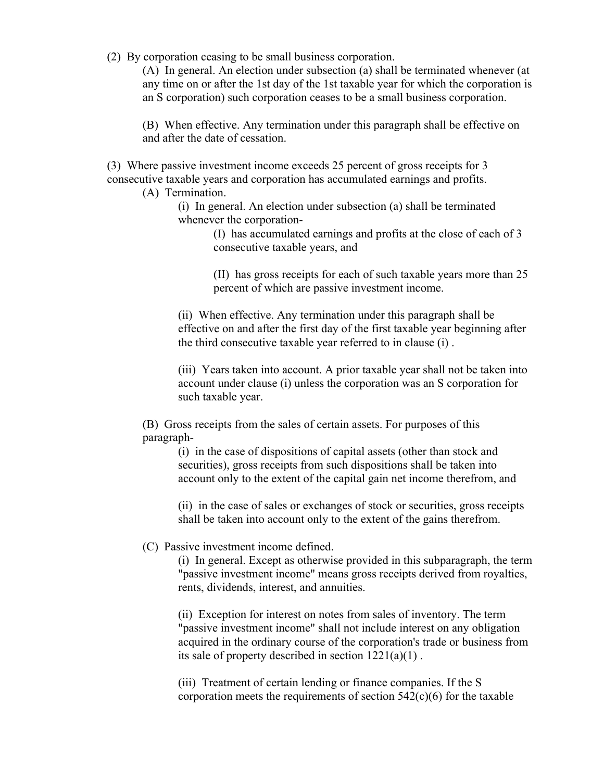(2) By corporation ceasing to be small business corporation.

(A) In general. An election under subsection (a) shall be terminated whenever (at any time on or after the 1st day of the 1st taxable year for which the corporation is an S corporation) such corporation ceases to be a small business corporation.

(B) When effective. Any termination under this paragraph shall be effective on and after the date of cessation.

(3) Where passive investment income exceeds 25 percent of gross receipts for 3 consecutive taxable years and corporation has accumulated earnings and profits.

- (A) Termination.
	- (i) In general. An election under subsection (a) shall be terminated whenever the corporation-

(I) has accumulated earnings and profits at the close of each of 3 consecutive taxable years, and

(II) has gross receipts for each of such taxable years more than 25 percent of which are passive investment income.

(ii) When effective. Any termination under this paragraph shall be effective on and after the first day of the first taxable year beginning after the third consecutive taxable year referred to in clause (i) .

(iii) Years taken into account. A prior taxable year shall not be taken into account under clause (i) unless the corporation was an S corporation for such taxable year.

(B) Gross receipts from the sales of certain assets. For purposes of this paragraph-

> (i) in the case of dispositions of capital assets (other than stock and securities), gross receipts from such dispositions shall be taken into account only to the extent of the capital gain net income therefrom, and

(ii) in the case of sales or exchanges of stock or securities, gross receipts shall be taken into account only to the extent of the gains therefrom.

#### (C) Passive investment income defined.

(i) In general. Except as otherwise provided in this subparagraph, the term "passive investment income" means gross receipts derived from royalties, rents, dividends, interest, and annuities.

(ii) Exception for interest on notes from sales of inventory. The term "passive investment income" shall not include interest on any obligation acquired in the ordinary course of the corporation's trade or business from its sale of property described in section 1221(a)(1) .

(iii) Treatment of certain lending or finance companies. If the S corporation meets the requirements of section  $542(c)(6)$  for the taxable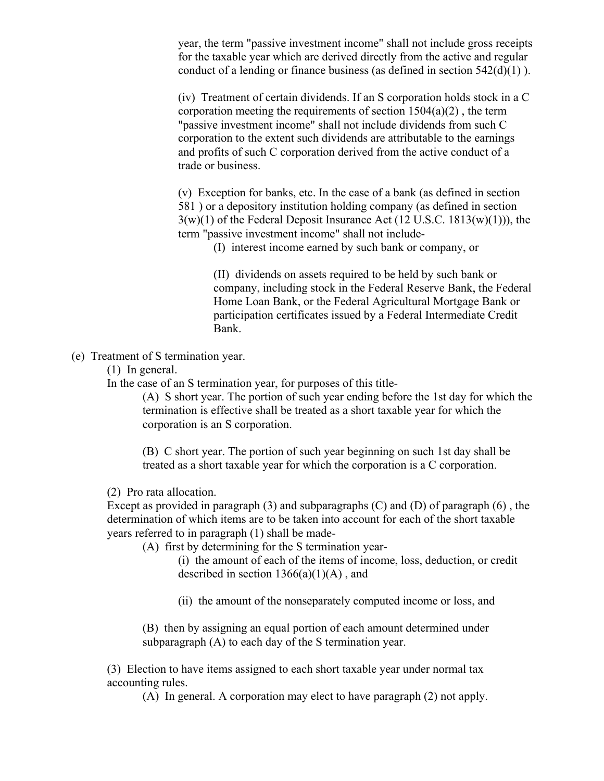year, the term "passive investment income" shall not include gross receipts for the taxable year which are derived directly from the active and regular conduct of a lending or finance business (as defined in section  $542(d)(1)$ ).

(iv) Treatment of certain dividends. If an S corporation holds stock in a C corporation meeting the requirements of section  $1504(a)(2)$ , the term "passive investment income" shall not include dividends from such C corporation to the extent such dividends are attributable to the earnings and profits of such C corporation derived from the active conduct of a trade or business.

(v) Exception for banks, etc. In the case of a bank (as defined in section 581 ) or a depository institution holding company (as defined in section  $3(w)(1)$  of the Federal Deposit Insurance Act  $(12 \text{ U.S.C. } 1813(w)(1)))$ , the term "passive investment income" shall not include-

(I) interest income earned by such bank or company, or

(II) dividends on assets required to be held by such bank or company, including stock in the Federal Reserve Bank, the Federal Home Loan Bank, or the Federal Agricultural Mortgage Bank or participation certificates issued by a Federal Intermediate Credit Bank.

(e) Treatment of S termination year.

(1) In general.

In the case of an S termination year, for purposes of this title-

(A) S short year. The portion of such year ending before the 1st day for which the termination is effective shall be treated as a short taxable year for which the corporation is an S corporation.

(B) C short year. The portion of such year beginning on such 1st day shall be treated as a short taxable year for which the corporation is a C corporation.

(2) Pro rata allocation.

Except as provided in paragraph  $(3)$  and subparagraphs  $(C)$  and  $(D)$  of paragraph  $(6)$ , the determination of which items are to be taken into account for each of the short taxable years referred to in paragraph (1) shall be made-

(A) first by determining for the S termination year-

(i) the amount of each of the items of income, loss, deduction, or credit described in section  $1366(a)(1)(A)$ , and

(ii) the amount of the nonseparately computed income or loss, and

(B) then by assigning an equal portion of each amount determined under subparagraph (A) to each day of the S termination year.

(3) Election to have items assigned to each short taxable year under normal tax accounting rules.

(A) In general. A corporation may elect to have paragraph (2) not apply.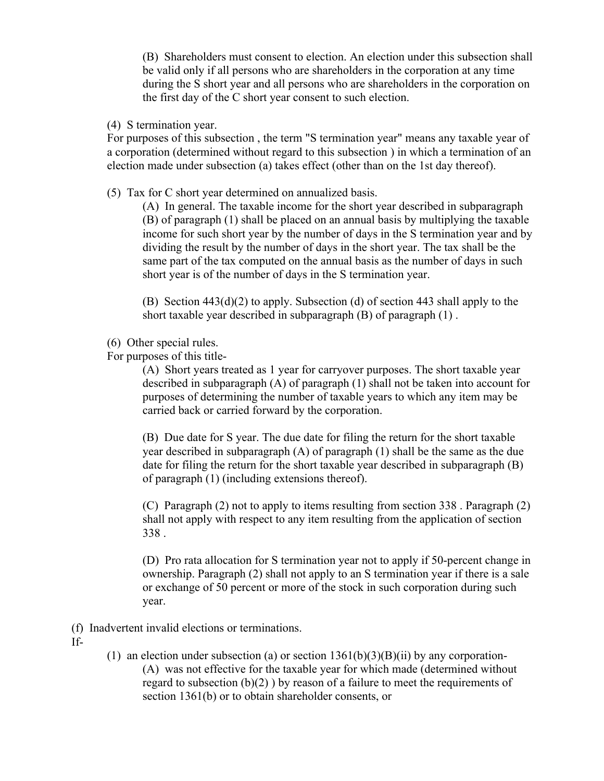(B) Shareholders must consent to election. An election under this subsection shall be valid only if all persons who are shareholders in the corporation at any time during the S short year and all persons who are shareholders in the corporation on the first day of the C short year consent to such election.

(4) S termination year.

For purposes of this subsection , the term "S termination year" means any taxable year of a corporation (determined without regard to this subsection ) in which a termination of an election made under subsection (a) takes effect (other than on the 1st day thereof).

(5) Tax for C short year determined on annualized basis.

(A) In general. The taxable income for the short year described in subparagraph (B) of paragraph (1) shall be placed on an annual basis by multiplying the taxable income for such short year by the number of days in the S termination year and by dividing the result by the number of days in the short year. The tax shall be the same part of the tax computed on the annual basis as the number of days in such short year is of the number of days in the S termination year.

(B) Section  $443(d)(2)$  to apply. Subsection (d) of section 443 shall apply to the short taxable year described in subparagraph (B) of paragraph (1) .

- (6) Other special rules.
- For purposes of this title-

(A) Short years treated as 1 year for carryover purposes. The short taxable year described in subparagraph (A) of paragraph (1) shall not be taken into account for purposes of determining the number of taxable years to which any item may be carried back or carried forward by the corporation.

(B) Due date for S year. The due date for filing the return for the short taxable year described in subparagraph (A) of paragraph (1) shall be the same as the due date for filing the return for the short taxable year described in subparagraph (B) of paragraph (1) (including extensions thereof).

(C) Paragraph (2) not to apply to items resulting from section 338 . Paragraph (2) shall not apply with respect to any item resulting from the application of section 338 .

(D) Pro rata allocation for S termination year not to apply if 50-percent change in ownership. Paragraph (2) shall not apply to an S termination year if there is a sale or exchange of 50 percent or more of the stock in such corporation during such year.

- (f) Inadvertent invalid elections or terminations.
- If-
- (1) an election under subsection (a) or section  $1361(b)(3)(B)(ii)$  by any corporation-(A) was not effective for the taxable year for which made (determined without regard to subsection  $(b)(2)$ ) by reason of a failure to meet the requirements of section 1361(b) or to obtain shareholder consents, or